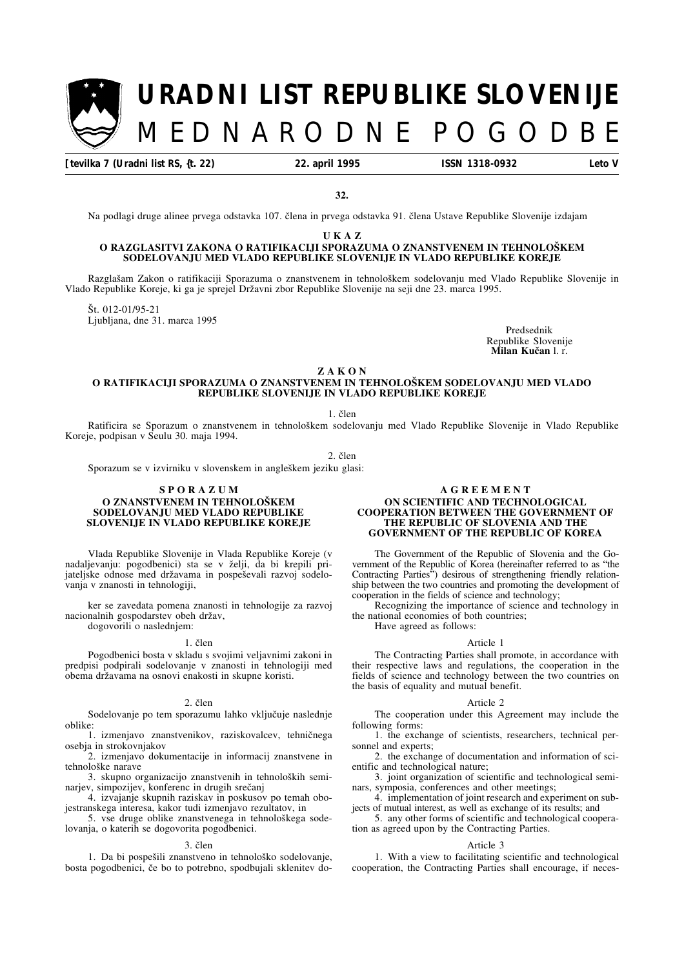# [t. 7 – 22. IV. 1995 **MEDNARODNE POGODBE** Stran 153 **URADNI LIST REPUBLIKE SLOVENIJE** MEDNARODNE POGODB

**[tevilka 7 (Uradni list RS, {t. 22) 22. april 1995 ISSN 1318-0932 Leto V**

**32.**

Na podlagi druge alinee prvega odstavka 107. člena in prvega odstavka 91. člena Ustave Republike Slovenije izdajam

**U K A Z**

# O RAZGLASITVI ZAKONA O RATIFIKACIJI SPORAZUMA O ZNANSTVENEM IN TEHNOLOŠKEM **SODELOVANJU MED VLADO REPUBLIKE SLOVENIJE IN VLADO REPUBLIKE KOREJE**

Razglašam Zakon o ratifikaciji Sporazuma o znanstvenem in tehnološkem sodelovanju med Vlado Republike Slovenije in Vlado Republike Koreje, ki ga je sprejel Dr'avni zbor Republike Slovenije na seji dne 23. marca 1995.

Št. 012-01/95-21 Ljubljana, dne 31. marca 1995

Predsednik Republike Slovenije **Milan Kučan** l. r.

**Z A K O N**

# **O RATIFIKACIJI SPORAZUMA O ZNANSTVENEM IN TEHNOLOŠKEM SODELOVANJU MED VLADO REPUBLIKE SLOVENIJE IN VLADO REPUBLIKE KOREJE**

 $1.$   $\delta$ len

Ratificira se Sporazum o znanstvenem in tehnološkem sodelovanju med Vlado Republike Slovenije in Vlado Republike Koreje, podpisan v Seulu 30. maja 1994.

 $2.$  člen

Sporazum se v izvirniku v slovenskem in angleškem jeziku glasi:

# **S P O R A Z U M O ZNANSTVENEM IN TEHNOLOŠKEM**

# **SODELOVANJU MED VLADO REPUBLIKE SLOVENIJE IN VLADO REPUBLIKE KOREJE**

Vlada Republike Slovenije in Vlada Republike Koreje (v nadaljevanju: pogodbenici) sta se v želji, da bi krepili prijateljske odnose med državama in pospeševali razvoj sodelovanja v znanosti in tehnologiji,

ker se zavedata pomena znanosti in tehnologije za razvoj nacionalnih gospodarstev obeh držav, dogovorili o naslednjem:

## 1. člen

Pogodbenici bosta v skladu s svojimi veljavnimi zakoni in predpisi podpirali sodelovanje v znanosti in tehnologiji med obema državama na osnovi enakosti in skupne koristi.

## 2. člen

Sodelovanje po tem sporazumu lahko vključuje naslednje oblike:

1. izmenjavo znanstvenikov, raziskovalcev, tehničnega osebja in strokovnjakov

2. izmenjavo dokumentacije in informacij znanstvene in tehnološke narave

3. skupno organizacijo znanstvenih in tehnoloških seminarjev, simpozijev, konferenc in drugih srečanj

4. izvajanje skupnih raziskav in poskusov po temah obojestranskega interesa, kakor tudi izmenjavo rezultatov, in

5. vse druge oblike znanstvenega in tehnološkega sodelovanja, o katerih se dogovorita pogodbenici.

## 3. člen

1. Da bi pospešili znanstveno in tehnološko sodelovanje, bosta pogodbenici, če bo to potrebno, spodbujali sklenitev do-

# **A G R E E M E N T**

## **ON SCIENTIFIC AND TECHNOLOGICAL COOPERATION BETWEEN THE GOVERNMENT OF THE REPUBLIC OF SLOVENIA AND THE GOVERNMENT OF THE REPUBLIC OF KOREA**

The Government of the Republic of Slovenia and the Government of the Republic of Korea (hereinafter referred to as "the Contracting Parties") desirous of strengthening friendly relationship between the two countries and promoting the development of cooperation in the fields of science and technology;

Recognizing the importance of science and technology in the national economies of both countries; Have agreed as follows:

## Article 1

The Contracting Parties shall promote, in accordance with their respective laws and regulations, the cooperation in the fields of science and technology between the two countries on the basis of equality and mutual benefit.

### Article 2

The cooperation under this Agreement may include the following forms:

1. the exchange of scientists, researchers, technical personnel and experts;

2. the exchange of documentation and information of scientific and technological nature;

3. joint organization of scientific and technological seminars, symposia, conferences and other meetings;

4. implementation of joint research and experiment on subjects of mutual interest, as well as exchange of its results; and

5. any other forms of scientific and technological cooperation as agreed upon by the Contracting Parties.

## Article 3

1. With a view to facilitating scientific and technological cooperation, the Contracting Parties shall encourage, if neces-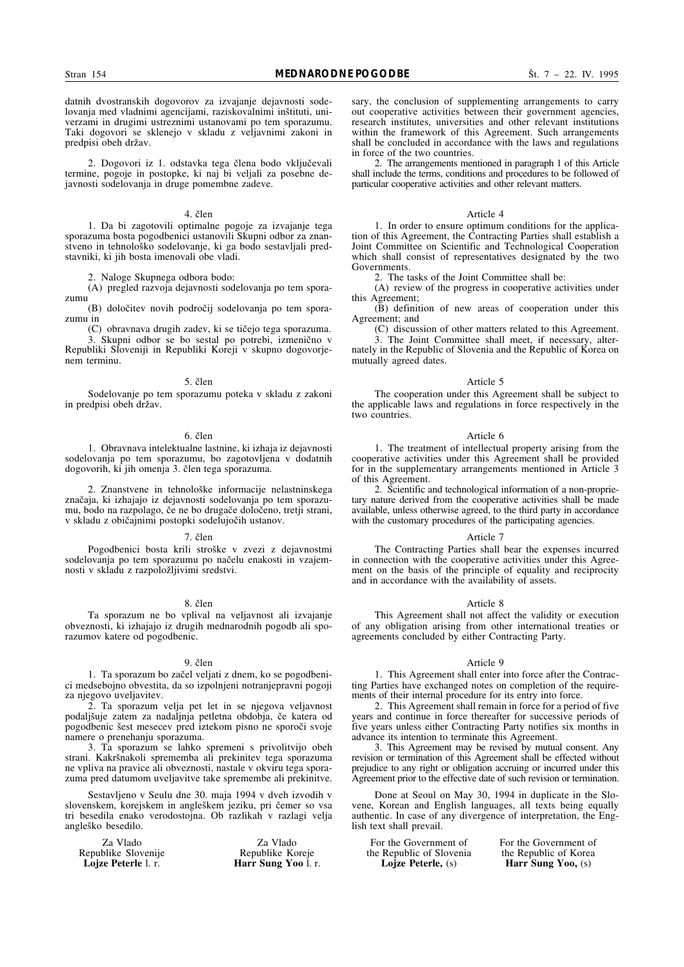datnih dvostranskih dogovorov za izvajanje dejavnosti sodelovanja med vladnimi agencijami, raziskovalnimi inštituti, univerzami in drugimi ustreznimi ustanovami po tem sporazumu. Taki dogovori se sklenejo v skladu z veljavnimi zakoni in predpisi obeh držav.

2. Dogovori iz 1. odstavka tega člena bodo vključevali termine, pogoje in postopke, ki naj bi veljali za posebne dejavnosti sodelovanja in druge pomembne zadeve.

## 4. člen

1. Da bi zagotovili optimalne pogoje za izvajanje tega sporazuma bosta pogodbenici ustanovili Skupni odbor za znanstveno in tehnološko sodelovanje, ki ga bodo sestavljali predstavniki, ki jih bosta imenovali obe vladi.

2. Naloge Skupnega odbora bodo:

(A) pregled razvoja dejavnosti sodelovanja po tem sporazumu

(B) določitev novih področij sodelovanja po tem sporazumu in

(C) obravnava drugih zadev, ki se tičejo tega sporazuma. 3. Skupni odbor se bo sestal po potrebi, izmenično v Republiki Sloveniji in Republiki Koreji v skupno dogovorjenem terminu.

### 5. člen

Sodelovanje po tem sporazumu poteka v skladu z zakoni in predpisi obeh držav.

## 6. člen

1. Obravnava intelektualne lastnine, ki izhaja iz dejavnosti sodelovanja po tem sporazumu, bo zagotovljena v dodatnih dogovorih, ki jih omenja 3. člen tega sporazuma.

2. Znanstvene in tehnološke informacije nelastninskega značaja, ki izhajajo iz dejavnosti sodelovanja po tem sporazumu, bodo na razpolago, če ne bo drugače določeno, tretji strani, v skladu z običajnimi postopki sodelujočih ustanov.

## 7. člen

Pogodbenici bosta krili stroške v zvezi z dejavnostmi sodelovanja po tem sporazumu po načelu enakosti in vzajemnosti v skladu z razpoložljivimi sredstvi.

### 8. člen

Ta sporazum ne bo vplival na veljavnost ali izvajanje obveznosti, ki izhajajo iz drugih mednarodnih pogodb ali sporazumov katere od pogodbenic.

#### 9. člen

1. Ta sporazum bo začel veljati z dnem, ko se pogodbenici medsebojno obvestita, da so izpolnjeni notranjepravni pogoji za njegovo uveljavitev.

2. Ta sporazum velja pet let in se njegova veljavnost podaljšuje zatem za nadaljnja petletna obdobja, če katera od pogodbenic šest mesecev pred iztekom pisno ne sporoči svoje namere o prenehanju sporazuma.

3. Ta sporazum se lahko spremeni s privolitvijo obeh strani. Kakršnakoli sprememba ali prekinitev tega sporazuma ne vpliva na pravice ali obveznosti, nastale v okviru tega sporazuma pred datumom uveljavitve take spremembe ali prekinitve.

Sestavljeno v Seulu dne 30. maja 1994 v dveh izvodih v slovenskem, korejskem in angleškem jeziku, pri čemer so vsa tri besedila enako verodostojna. Ob razlikah v razlagi velja angleško besedilo.

Za Vlado Za Vlado Republike Slovenije<br>Lojze Peterle l. r. **Harr Sung Yoo** l. r. sary, the conclusion of supplementing arrangements to carry out cooperative activities between their government agencies, research institutes, universities and other relevant institutions within the framework of this Agreement. Such arrangements shall be concluded in accordance with the laws and regulations in force of the two countries.

2. The arrangements mentioned in paragraph 1 of this Article shall include the terms, conditions and procedures to be followed of particular cooperative activities and other relevant matters.

#### Article 4

1. In order to ensure optimum conditions for the application of this Agreement, the Contracting Parties shall establish a Joint Committee on Scientific and Technological Cooperation which shall consist of representatives designated by the two Governments.

2. The tasks of the Joint Committee shall be:

mutually agreed dates.

(A) review of the progress in cooperative activities under this Agreement;

 $(\mathbf{\bar{B}})$  definition of new areas of cooperation under this Agreement; and

(C) discussion of other matters related to this Agreement. 3. The Joint Committee shall meet, if necessary, alternately in the Republic of Slovenia and the Republic of Korea on

## Article 5

The cooperation under this Agreement shall be subject to the applicable laws and regulations in force respectively in the two countries.

## Article 6

1. The treatment of intellectual property arising from the cooperative activities under this Agreement shall be provided for in the supplementary arrangements mentioned in Article 3 of this Agreement.

2. Scientific and technological information of a non-proprietary nature derived from the cooperative activities shall be made available, unless otherwise agreed, to the third party in accordance with the customary procedures of the participating agencies.

#### Article 7

The Contracting Parties shall bear the expenses incurred in connection with the cooperative activities under this Agreement on the basis of the principle of equality and reciprocity and in accordance with the availability of assets.

#### Article 8

This Agreement shall not affect the validity or execution of any obligation arising from other international treaties or agreements concluded by either Contracting Party.

# Article 9

1. This Agreement shall enter into force after the Contracting Parties have exchanged notes on completion of the requirements of their internal procedure for its entry into force.

2. This Agreement shall remain in force for a period of five years and continue in force thereafter for successive periods of five years unless either Contracting Party notifies six months in advance its intention to terminate this Agreement.

3. This Agreement may be revised by mutual consent. Any revision or termination of this Agreement shall be effected without prejudice to any right or obligation accruing or incurred under this Agreement prior to the effective date of such revision or termination.

Done at Seoul on May 30, 1994 in duplicate in the Slovene, Korean and English languages, all texts being equally authentic. In case of any divergence of interpretation, the English text shall prevail.

For the Government of For the Government of<br>the Republic of Slovenia the Republic of Korea the Republic of Slovenia<br>Loize Peterle, (s)

**Harr Sung Yoo,**  $(s)$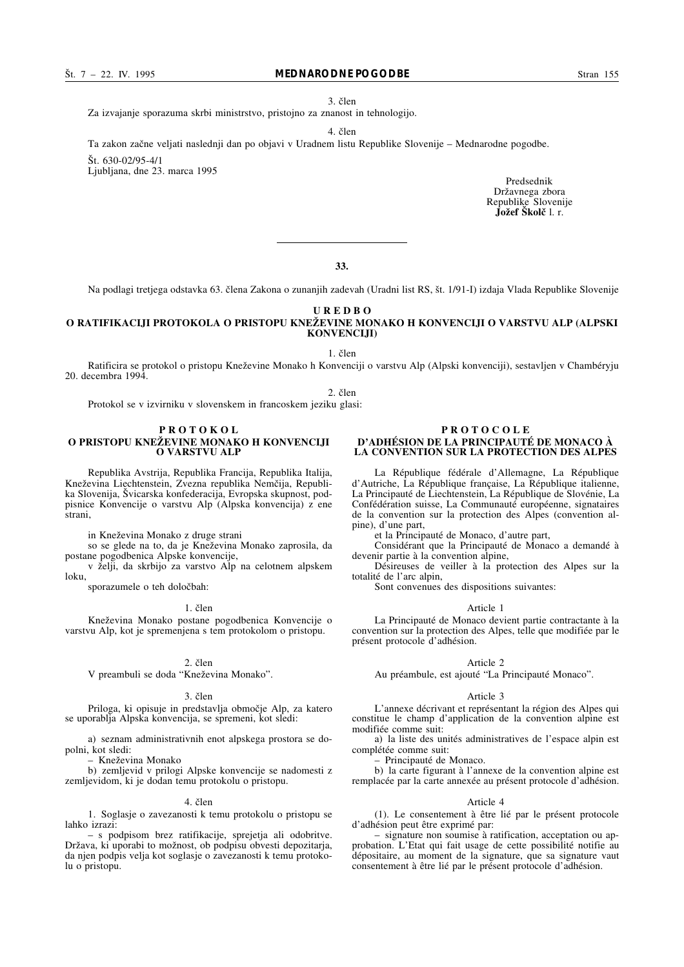3. člen

Za izvajanje sporazuma skrbi ministrstvo, pristojno za znanost in tehnologijo.

4. člen

Ta zakon začne veljati naslednji dan po objavi v Uradnem listu Republike Slovenije – Mednarodne pogodbe.

 $\text{St.}$  630-02/95-4/1

Ljubljana, dne 23. marca 1995

Predsednik Državnega zbora Republike Slovenije **Jožef Školč** l. r.

**33.**

Na podlagi tretjega odstavka 63. člena Zakona o zunanjih zadevah (Uradni list RS, št. 1/91-I) izdaja Vlada Republike Slovenije

**U R E D B O**

# **O RATIFIKACLII PROTOKOLA O PRISTOPU KNEŽEVINE MONAKO H KONVENCIJI O VARSTVU ALP (ALPSKI KONVENCIJI)**

1. člen

Ratificira se protokol o pristopu Kne'evine Monako h Konvenciji o varstvu Alp (Alpski konvenciji), sestavljen v Chambéryju 20. decembra 1994.

2. člen

Protokol se v izvirniku v slovenskem in francoskem jeziku glasi:

## **P R O T O K O L O PRISTOPU KNEŽEVINE MONAKO H KONVENCIJI O VARSTVU ALP**

Republika Avstrija, Republika Francija, Republika Italija, Kneževina Liechtenstein, Zvezna republika Nemčija, Republika Slovenija, Švicarska konfederacija, Evropska skupnost, podpisnice Konvencije o varstvu Alp (Alpska konvencija) z ene strani,

in Kneževina Monako z druge strani

so se glede na to, da je Kneževina Monako zaprosila, da postane pogodbenica Alpske konvencije,

v želji, da skrbijo za varstvo Alp na celotnem alpskem loku,

sporazumele o teh določbah:

# 1. člen

Kneževina Monako postane pogodbenica Konvencije o varstvu Alp, kot je spremenjena s tem protokolom o pristopu.

## 2. člen

V preambuli se doda "Kneževina Monako".

## 3. člen

Priloga, ki opisuje in predstavlja območje Alp, za katero se uporablja Alpska konvencija, se spremeni, kot sledi:

a) seznam administrativnih enot alpskega prostora se dopolni, kot sledi:

– Kne'evina Monako

b) zemljevid v prilogi Alpske konvencije se nadomesti z zemljevidom, ki je dodan temu protokolu o pristopu.

## 4. člen

1. Soglasje o zavezanosti k temu protokolu o pristopu se lahko izrazi:

– s podpisom brez ratifikacije, sprejetja ali odobritve. Država, ki uporabi to možnost, ob podpisu obvesti depozitarja, da njen podpis velja kot soglasje o zavezanosti k temu protokolu o pristopu.

## **P R O T O C O L E D'ADHÉSION DE LA PRINCIPAUTÉ DE MONACO À LA CONVENTION SUR LA PROTECTION DES ALPES**

La République fédérale d'Allemagne, La République d'Autriche, La République française, La République italienne, La Principauté de Liechtenstein, La République de Slovénie, La Confédération suisse, La Communauté européenne, signataires de la convention sur la protection des Alpes (convention alpine), d'une part,

et la Principauté de Monaco, d'autre part,

Considérant que la Principauté de Monaco a demandé à devenir partie à la convention alpine,

Désireuses de veiller à la protection des Alpes sur la totalité de l'arc alpin,

Sont convenues des dispositions suivantes:

# Article 1

La Principauté de Monaco devient partie contractante à la convention sur la protection des Alpes, telle que modifiée par le présent protocole d'adhésion.

## Article 2

Au préambule, est ajouté "La Principauté Monaco".

#### Article 3

L'annexe décrivant et représentant la région des Alpes qui constitue le champ d'application de la convention alpine est modifiée comme suit:

a) la liste des unités administratives de l'espace alpin est complétée comme suit:

– Principauté de Monaco.

b) la carte figurant à l'annexe de la convention alpine est remplacée par la carte annexée au présent protocole d'adhésion.

## Article 4

(1). Le consentement à être lié par le présent protocole d'adhésion peut être exprimé par:

– signature non soumise à ratification, acceptation ou approbation. L'Etat qui fait usage de cette possibilité notifie au dépositaire, au moment de la signature, que sa signature vaut consentement à être lié par le présent protocole d'adhésion.